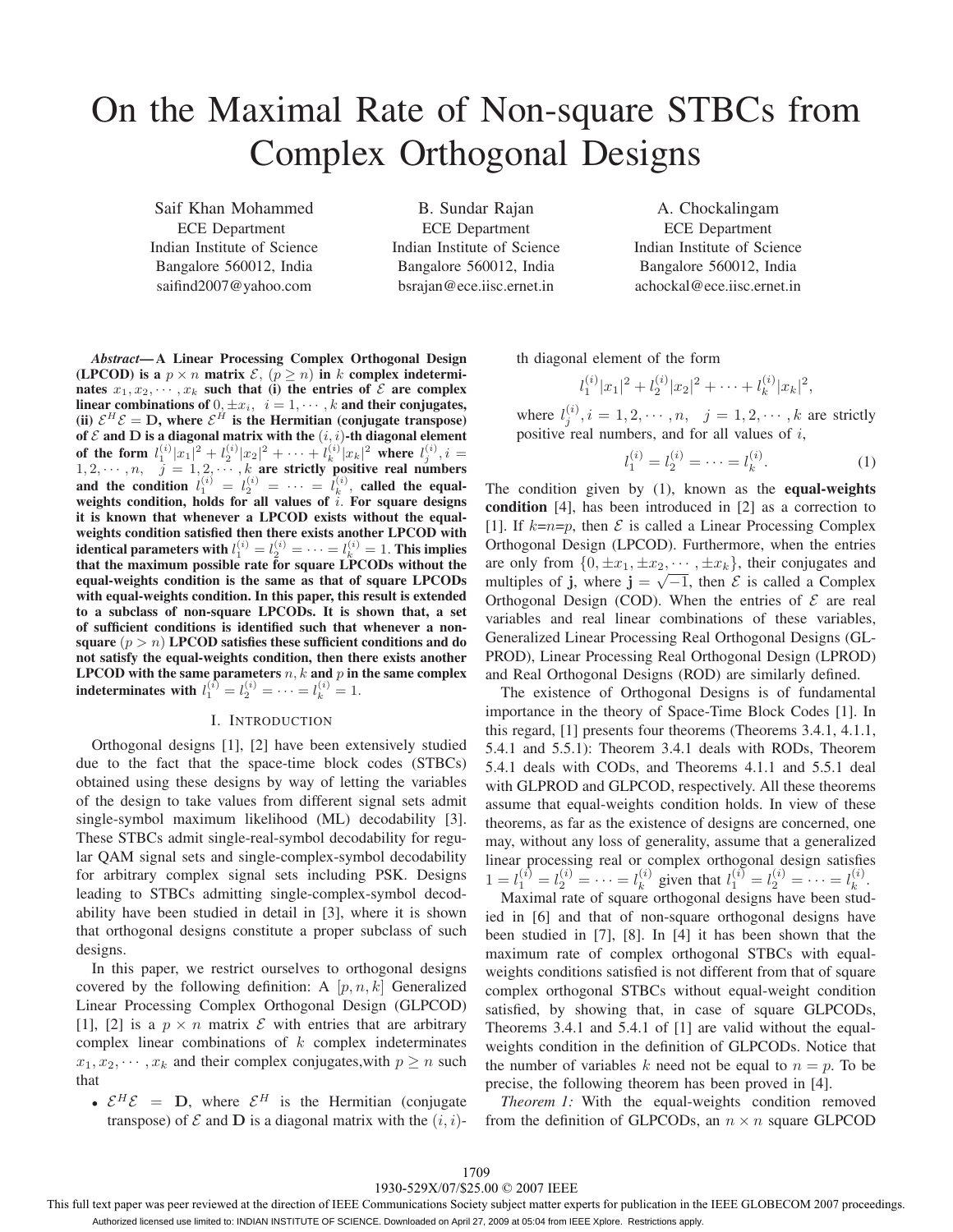# On the Maximal Rate of Non-square STBCs from Complex Orthogonal Designs

Saif Khan Mohammed ECE Department Indian Institute of Science Bangalore 560012, India saifind2007@yahoo.com

B. Sundar Rajan ECE Department Indian Institute of Science Bangalore 560012, India bsrajan@ece.iisc.ernet.in

A. Chockalingam ECE Department Indian Institute of Science Bangalore 560012, India achockal@ece.iisc.ernet.in

*Abstract***— A Linear Processing Complex Orthogonal Design (LPCOD)** is a  $p \times n$  matrix  $\mathcal{E}$ ,  $(p \geq n)$  in  $k$  complex indetermi**nates**  $x_1, x_2, \dots, x_k$  **such that (i) the entries of**  $\mathcal{E}$  **are complex linear combinations of**  $0, \pm x_i$ ,  $i = 1, \dots, k$  and their conjugates, (ii)  $\mathcal{E}^H \mathcal{E} = \mathbf{D}$ , where  $\mathcal{E}^H$  is the Hermitian (conjugate transpose) of  $\mathcal E$  and  $\mathbf D$  is a diagonal matrix with the  $(i, i)$ -th diagonal element **of the form**  $l_1^{(i)}|x_1|^2 + l_2^{(i)}|x_2|^2 + \cdots + l_k^{(i)}|x_k|^2$  where  $l_j^{(i)}$ ,  $i =$  $1, 2, \dots, n$ ,  $j = 1, 2, \dots, k$  are strictly positive real numbers **and the condition**  $l_1^{(i)} = l_2^{(i)} = \cdots = l_k^{(i)}$ , **called the equalweights condition, holds for all values of** *i.* **For square designs it is known that whenever a LPCOD exists without the equalweights condition satisfied then there exists another LPCOD with identical parameters with**  $l_1^{(i)} = l_2^{(i)} = \cdots = l_k^{(i)} = 1$ . This implies that the maximum possible rate for square LPCODs without the **equal-weights condition is the same as that of square LPCODs with equal-weights condition. In this paper, this result is extended to a subclass of non-square LPCODs. It is shown that, a set of sufficient conditions is identified such that whenever a nonsquare** (*p>n*) **LPCOD satisfies these sufficient conditions and do not satisfy the equal-weights condition, then there exists another LPCOD with the same parameters** *n, k* **and** *p* **in the same complex indeterminates with**  $l_1^{(i)} = l_2^{(i)} = \cdots = l_k^{(i)} = 1$ .

## I. INTRODUCTION

Orthogonal designs [1], [2] have been extensively studied due to the fact that the space-time block codes (STBCs) obtained using these designs by way of letting the variables of the design to take values from different signal sets admit single-symbol maximum likelihood (ML) decodability [3]. These STBCs admit single-real-symbol decodability for regular QAM signal sets and single-complex-symbol decodability for arbitrary complex signal sets including PSK. Designs leading to STBCs admitting single-complex-symbol decodability have been studied in detail in [3], where it is shown that orthogonal designs constitute a proper subclass of such designs.

In this paper, we restrict ourselves to orthogonal designs covered by the following definition: A [*p, n, k*] Generalized Linear Processing Complex Orthogonal Design (GLPCOD) [1], [2] is a  $p \times n$  matrix  $\mathcal E$  with entries that are arbitrary complex linear combinations of *k* complex indeterminates  $x_1, x_2, \dots, x_k$  and their complex conjugates, with  $p \ge n$  such that

•  $\mathcal{E}^H \mathcal{E}$  = **D**, where  $\mathcal{E}^H$  is the Hermitian (conjugate transpose) of  $\mathcal E$  and  $\mathbf D$  is a diagonal matrix with the  $(i, i)$ - th diagonal element of the form

$$
l_1^{(i)}|x_1|^2 + l_2^{(i)}|x_2|^2 + \cdots + l_k^{(i)}|x_k|^2,
$$

where  $l_j^{(i)}$ ,  $i = 1, 2, \dots, n$ ,  $j = 1, 2, \dots, k$  are strictly positive real numbers, and for all values of *i*,

$$
l_1^{(i)} = l_2^{(i)} = \dots = l_k^{(i)}.
$$
 (1)

The condition given by (1), known as the **equal-weights condition** [4], has been introduced in [2] as a correction to [1]. If  $k=n=p$ , then  $\mathcal E$  is called a Linear Processing Complex Orthogonal Design (LPCOD). Furthermore, when the entries are only from  $\{0, \pm x_1, \pm x_2, \cdots, \pm x_k\}$ , their conjugates and multiples of **j**, where  $\mathbf{j} = \sqrt{-1}$ , then  $\mathcal{E}$  is called a Complex Orthogonal Design (COD). When the entries of  $\mathcal E$  are real variables and real linear combinations of these variables, Generalized Linear Processing Real Orthogonal Designs (GL-PROD), Linear Processing Real Orthogonal Design (LPROD) and Real Orthogonal Designs (ROD) are similarly defined.

The existence of Orthogonal Designs is of fundamental importance in the theory of Space-Time Block Codes [1]. In this regard, [1] presents four theorems (Theorems 3.4.1, 4.1.1, 5.4.1 and 5.5.1): Theorem 3.4.1 deals with RODs, Theorem 5.4.1 deals with CODs, and Theorems 4.1.1 and 5.5.1 deal with GLPROD and GLPCOD, respectively. All these theorems assume that equal-weights condition holds. In view of these theorems, as far as the existence of designs are concerned, one may, without any loss of generality, assume that a generalized linear processing real or complex orthogonal design satisfies  $1 = l_1^{(i)} = l_2^{(i)} = \cdots = l_k^{(i)}$  given that  $l_1^{(i)} = l_2^{(i)} = \cdots = l_k^{(i)}$ .

Maximal rate of square orthogonal designs have been studied in [6] and that of non-square orthogonal designs have been studied in [7], [8]. In [4] it has been shown that the maximum rate of complex orthogonal STBCs with equalweights conditions satisfied is not different from that of square complex orthogonal STBCs without equal-weight condition satisfied, by showing that, in case of square GLPCODs, Theorems 3.4.1 and 5.4.1 of [1] are valid without the equalweights condition in the definition of GLPCODs. Notice that the number of variables *k* need not be equal to  $n = p$ . To be precise, the following theorem has been proved in [4].

*Theorem 1:* With the equal-weights condition removed from the definition of GLPCODs, an  $n \times n$  square GLPCOD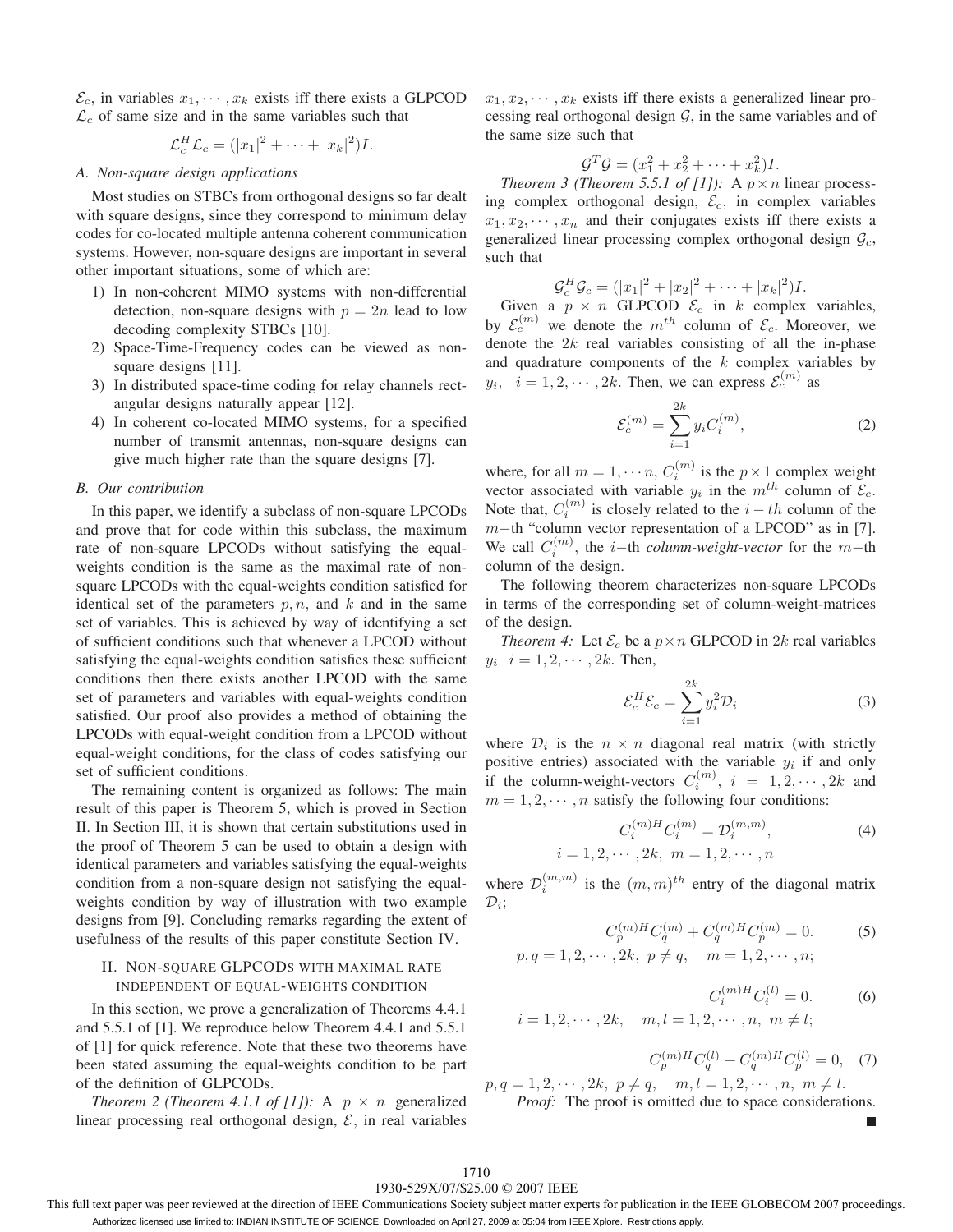$\mathcal{E}_c$ , in variables  $x_1, \dots, x_k$  exists iff there exists a GLPCOD  $\mathcal{L}_c$  of same size and in the same variables such that

$$
\mathcal{L}_c^H \mathcal{L}_c = (|x_1|^2 + \cdots + |x_k|^2)I.
$$

#### *A. Non-square design applications*

Most studies on STBCs from orthogonal designs so far dealt with square designs, since they correspond to minimum delay codes for co-located multiple antenna coherent communication systems. However, non-square designs are important in several other important situations, some of which are:

- 1) In non-coherent MIMO systems with non-differential detection, non-square designs with  $p = 2n$  lead to low decoding complexity STBCs [10].
- 2) Space-Time-Frequency codes can be viewed as nonsquare designs [11].
- 3) In distributed space-time coding for relay channels rectangular designs naturally appear [12].
- 4) In coherent co-located MIMO systems, for a specified number of transmit antennas, non-square designs can give much higher rate than the square designs [7].

#### *B. Our contribution*

In this paper, we identify a subclass of non-square LPCODs and prove that for code within this subclass, the maximum rate of non-square LPCODs without satisfying the equalweights condition is the same as the maximal rate of nonsquare LPCODs with the equal-weights condition satisfied for identical set of the parameters  $p, n$ , and  $k$  and in the same set of variables. This is achieved by way of identifying a set of sufficient conditions such that whenever a LPCOD without satisfying the equal-weights condition satisfies these sufficient conditions then there exists another LPCOD with the same set of parameters and variables with equal-weights condition satisfied. Our proof also provides a method of obtaining the LPCODs with equal-weight condition from a LPCOD without equal-weight conditions, for the class of codes satisfying our set of sufficient conditions.

The remaining content is organized as follows: The main result of this paper is Theorem 5, which is proved in Section II. In Section III, it is shown that certain substitutions used in the proof of Theorem 5 can be used to obtain a design with identical parameters and variables satisfying the equal-weights condition from a non-square design not satisfying the equalweights condition by way of illustration with two example designs from [9]. Concluding remarks regarding the extent of usefulness of the results of this paper constitute Section IV.

# II. NON-SQUARE GLPCODS WITH MAXIMAL RATE INDEPENDENT OF EQUAL-WEIGHTS CONDITION

In this section, we prove a generalization of Theorems 4.4.1 and 5.5.1 of [1]. We reproduce below Theorem 4.4.1 and 5.5.1 of [1] for quick reference. Note that these two theorems have been stated assuming the equal-weights condition to be part of the definition of GLPCODs.

*Theorem 2 (Theorem 4.1.1 of [1]):* A  $p \times n$  generalized linear processing real orthogonal design,  $\mathcal{E}$ , in real variables  $x_1, x_2, \dots, x_k$  exists iff there exists a generalized linear processing real orthogonal design  $G$ , in the same variables and of the same size such that

$$
\mathcal{G}^T \mathcal{G} = (x_1^2 + x_2^2 + \dots + x_k^2)I.
$$

*Theorem 3 (Theorem 5.5.1 of [1]):* A  $p \times n$  linear processing complex orthogonal design,  $\mathcal{E}_c$ , in complex variables  $x_1, x_2, \dots, x_n$  and their conjugates exists iff there exists a generalized linear processing complex orthogonal design G*c*, such that

$$
\mathcal{G}_c^H \mathcal{G}_c = (|x_1|^2 + |x_2|^2 + \cdots + |x_k|^2)I.
$$

Given a  $p \times n$  GLPCOD  $\mathcal{E}_c$  in  $k$  complex variables, by  $\mathcal{E}_c^{(m)}$  we denote the  $m^{th}$  column of  $\mathcal{E}_c$ . Moreover, we denote the 2*k* real variables consisting of all the in-phase and quadrature components of the *k* complex variables by  $y_i$ ,  $i = 1, 2, \dots, 2k$ . Then, we can express  $\mathcal{E}_c^{(m)}$  as

$$
\mathcal{E}_c^{(m)} = \sum_{i=1}^{2k} y_i C_i^{(m)},\tag{2}
$$

where, for all  $m = 1, \dots, n$ ,  $C_i^{(m)}$  is the  $p \times 1$  complex weight vector associated with variable  $y_i$  in the  $m^{th}$  column of  $\mathcal{E}_c$ . Note that,  $C_i^{(m)}$  is closely related to the  $i - th$  column of the *m*−th "column vector representation of a LPCOD" as in [7]. We call  $C_i^{(m)}$ , the *i*−th *column-weight-vector* for the *m*−th column of the design.

The following theorem characterizes non-square LPCODs in terms of the corresponding set of column-weight-matrices of the design.

*Theorem 4:* Let  $\mathcal{E}_c$  be a  $p \times n$  GLPCOD in 2*k* real variables  $y_i$   $i = 1, 2, \dots, 2k$ . Then,

$$
\mathcal{E}_c^H \mathcal{E}_c = \sum_{i=1}^{2k} y_i^2 \mathcal{D}_i \tag{3}
$$

where  $\mathcal{D}_i$  is the  $n \times n$  diagonal real matrix (with strictly positive entries) associated with the variable  $y_i$  if and only if the column-weight-vectors  $C_i^{(m)}$ ,  $i = 1, 2, \dots, 2k$  and  $m = 1, 2, \dots, n$  satisfy the following four conditions:

$$
C_i^{(m)H} C_i^{(m)} = \mathcal{D}_i^{(m,m)},
$$
  
\n $i = 1, 2, \cdots, 2k, m = 1, 2, \cdots, n$  (4)

where  $\mathcal{D}_i^{(m,m)}$  is the  $(m,m)^{th}$  entry of the diagonal matrix  $\mathcal{D}_i$ ;

$$
C_p^{(m)H}C_q^{(m)} + C_q^{(m)H}C_p^{(m)} = 0.
$$
\n
$$
p, q = 1, 2, \cdots, 2k, \ p \neq q, \quad m = 1, 2, \cdots, n;
$$
\n(5)

$$
C_i^{(m)H} C_i^{(l)} = 0.
$$
 (6)  
 $i = 1, 2, \dots, 2k, \quad m, l = 1, 2, \dots, n, \ m \neq l;$ 

$$
C_p^{(m)H}C_q^{(l)} + C_q^{(m)H}C_p^{(l)} = 0, \quad (7)
$$
  
 $p, q = 1, 2, \dots, 2k, p \neq q, \quad m, l = 1, 2, \dots, n, m \neq l.$ 

*Proof:* The proof is omitted due to space considerations.

# 1710

#### 1930-529X/07/\$25.00 © 2007 IEEE

This full text paper was peer reviewed at the direction of IEEE Communications Society subject matter experts for publication in the IEEE GLOBECOM 2007 proceedings. Authorized licensed use limited to: INDIAN INSTITUTE OF SCIENCE. Downloaded on April 27, 2009 at 05:04 from IEEE Xplore. Restrictions apply.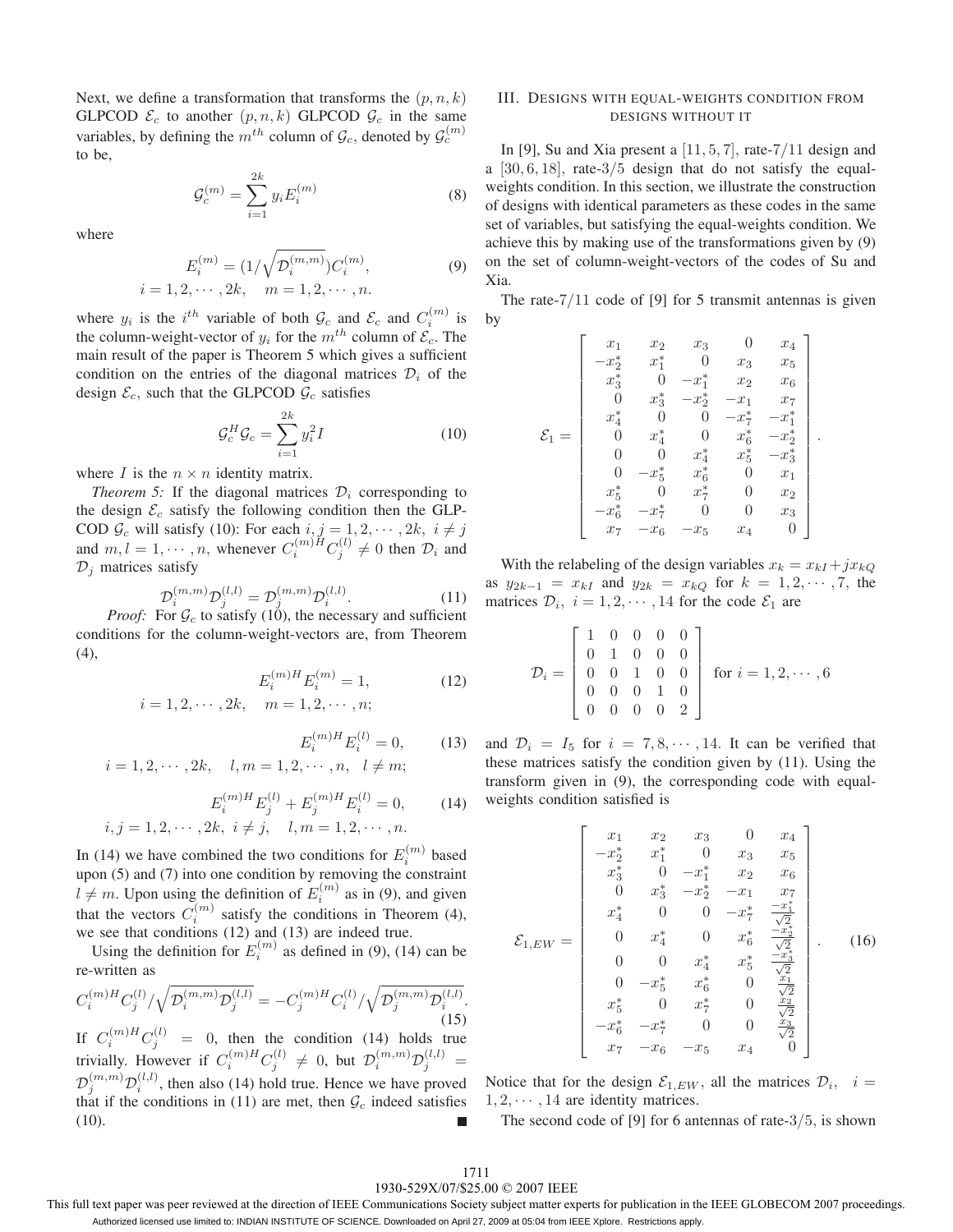Next, we define a transformation that transforms the  $(p, n, k)$ GLPCOD  $\mathcal{E}_c$  to another  $(p, n, k)$  GLPCOD  $\mathcal{G}_c$  in the same variables, by defining the  $m^{th}$  column of  $\mathcal{G}_c$ , denoted by  $\mathcal{G}_c^{(m)}$ to be,

$$
\mathcal{G}_c^{(m)} = \sum_{i=1}^{2k} y_i E_i^{(m)}
$$
\n(8)

where

(10).

$$
E_i^{(m)} = (1/\sqrt{\mathcal{D}_i^{(m,m)}}) C_i^{(m)},
$$
  
\n $i = 1, 2, \cdots, 2k, \quad m = 1, 2, \cdots, n.$  (9)

where  $y_i$  is the  $i^{th}$  variable of both  $\mathcal{G}_c$  and  $\mathcal{E}_c$  and  $C_i^{(m)}$  is the column-weight-vector of  $y_i$  for the  $m^{th}$  column of  $\mathcal{E}_c$ . The main result of the paper is Theorem 5 which gives a sufficient condition on the entries of the diagonal matrices  $\mathcal{D}_i$  of the design  $\mathcal{E}_c$ , such that the GLPCOD  $\mathcal{G}_c$  satisfies

$$
\mathcal{G}_c^H \mathcal{G}_c = \sum_{i=1}^{2k} y_i^2 I \tag{10}
$$

where *I* is the  $n \times n$  identity matrix.

*Theorem 5:* If the diagonal matrices  $\mathcal{D}_i$  corresponding to the design  $\mathcal{E}_c$  satisfy the following condition then the GLP-COD  $\mathcal{G}_c$  will satisfy (10): For each  $i, j = 1, 2, \dots, 2k, i \neq j$ and  $m, l = 1, \dots, n$ , whenever  $C_i^{(m)H} C_j^{(l)} \neq 0$  then  $\mathcal{D}_i$  and  $\mathcal{D}_j$  matrices satisfy

$$
\mathcal{D}_i^{(m,m)} \mathcal{D}_j^{(l,l)} = \mathcal{D}_j^{(m,m)} \mathcal{D}_i^{(l,l)}.
$$
 (11)

*Proof:* For  $\mathcal{G}_c$  to satisfy (10), the necessary and sufficient conditions for the column-weight-vectors are, from Theorem (4),

$$
E_i^{(m)H} E_i^{(m)} = 1,\t\t(12)
$$

$$
i = 1, 2, \cdots, 2k, \quad m = 1, 2, \cdots, n;
$$

$$
E_i^{(m)H} E_i^{(l)} = 0,
$$
 (13)  
 $i = 1, 2, \dots, 2k, \quad l, m = 1, 2, \dots, n, \quad l \neq m;$ 

$$
E_i^{(m)H} E_j^{(l)} + E_j^{(m)H} E_i^{(l)} = 0,
$$
  
\n $i, j = 1, 2, \dots, 2k, i \neq j, l, m = 1, 2, \dots, n.$  (14)

In (14) we have combined the two conditions for 
$$
E_i^{(m)}
$$
 based upon (5) and (7) into one condition by removing the constraint  $l \neq m$ . Upon using the definition of  $E_i^{(m)}$  as in (9), and given that the vectors  $C_i^{(m)}$  satisfy the conditions in Theorem (4),

we see that conditions (12) and (13) are indeed true.

Using the definition for  $E_i^{(m)}$  as defined in (9), (14) can be re-written as

$$
C_i^{(m)H} C_j^{(l)} / \sqrt{\mathcal{D}_i^{(m,m)} \mathcal{D}_j^{(l,l)}} = -C_j^{(m)H} C_i^{(l)} / \sqrt{\mathcal{D}_j^{(m,m)} \mathcal{D}_i^{(l,l)}}.
$$
\nIf  $C_i^{(m)H} C_j^{(l)} = 0$ , then the condition (14) holds true trivially. However if  $C_i^{(m)H} C_j^{(l)} \neq 0$ , but  $\mathcal{D}_i^{(m,m)} \mathcal{D}_j^{(l,l)} = \mathcal{D}_j^{(m,m)} \mathcal{D}_i^{(l,l)}$ , then also (14) hold true. Hence we have proved that if the conditions in (11) are met, then  $\mathcal{G}_c$  indeed satisfies

# III. DESIGNS WITH EQUAL-WEIGHTS CONDITION FROM DESIGNS WITHOUT IT

In [9], Su and Xia present a [11*,* 5*,* 7]*,* rate-7*/*11 design and a [30*,* 6*,* 18]*,* rate-3*/*5 design that do not satisfy the equalweights condition. In this section, we illustrate the construction of designs with identical parameters as these codes in the same set of variables, but satisfying the equal-weights condition. We achieve this by making use of the transformations given by (9) on the set of column-weight-vectors of the codes of Su and Xia.

The rate-7*/*11 code of [9] for 5 transmit antennas is given by

$$
\mathcal{E}_1 = \left[\begin{array}{ccccc} x_1 & x_2 & x_3 & 0 & x_4 \\ -x_2^* & x_1^* & 0 & x_3 & x_5 \\ x_3^* & 0 & -x_1^* & x_2 & x_6 \\ 0 & x_3^* & -x_2^* & -x_1 & x_7 \\ x_4^* & 0 & 0 & -x_7^* & -x_1^* \\ 0 & x_4^* & 0 & x_6^* & -x_2^* \\ 0 & 0 & x_4^* & x_5^* & -x_3^* \\ 0 & -x_5^* & x_6^* & 0 & x_1 \\ x_5^* & 0 & x_7^* & 0 & x_2 \\ -x_6^* & -x_7^* & 0 & 0 & x_3 \\ x_7 & -x_6 & -x_5 & x_4 & 0 \end{array}\right].
$$

With the relabeling of the design variables  $x_k = x_{kI} + jx_{kQ}$ as  $y_{2k-1} = x_{kI}$  and  $y_{2k} = x_{kQ}$  for  $k = 1, 2, \dots, 7$ , the matrices  $\mathcal{D}_i$ ,  $i = 1, 2, \dots, 14$  for the code  $\mathcal{E}_1$  are

$$
\mathcal{D}_i = \left[ \begin{array}{cccc} 1 & 0 & 0 & 0 & 0 \\ 0 & 1 & 0 & 0 & 0 \\ 0 & 0 & 1 & 0 & 0 \\ 0 & 0 & 0 & 1 & 0 \\ 0 & 0 & 0 & 0 & 2 \end{array} \right] \text{ for } i = 1, 2, \cdots, 6
$$

and  $\mathcal{D}_i = I_5$  for  $i = 7, 8, \dots, 14$ . It can be verified that these matrices satisfy the condition given by (11). Using the transform given in (9), the corresponding code with equalweights condition satisfied is

$$
\mathcal{E}_{1, EW} = \begin{bmatrix}\n x_1 & x_2 & x_3 & 0 & x_4 \\
-x_2^* & x_1^* & 0 & x_3 & x_5 \\
x_3^* & 0 & -x_1^* & x_2 & x_6 \\
0 & x_3^* & -x_2^* & -x_1 & x_7 \\
x_4^* & 0 & 0 & -x_7^* & \frac{-x_2^*}{\sqrt{2}} \\
0 & x_4^* & 0 & x_6^* & \frac{-x_2^*}{\sqrt{2}} \\
0 & 0 & x_4^* & x_5^* & \frac{-x_2^*}{\sqrt{2}} \\
0 & -x_5^* & x_6^* & 0 & \frac{x_1}{\sqrt{2}} \\
x_5^* & 0 & x_7^* & 0 & \frac{x_2}{\sqrt{2}} \\
-x_6^* & -x_7^* & 0 & 0 & \frac{x_3}{\sqrt{2}} \\
x_7 & -x_6 & -x_5 & x_4 & 0\n\end{bmatrix}.
$$
\n(16)

Notice that for the design  $\mathcal{E}_{1,EW}$ , all the matrices  $\mathcal{D}_i$ ,  $i=$  $1, 2, \dots, 14$  are identity matrices.

The second code of [9] for 6 antennas of rate-3*/*5*,* is shown

# 1711

### 1930-529X/07/\$25.00 © 2007 IEEE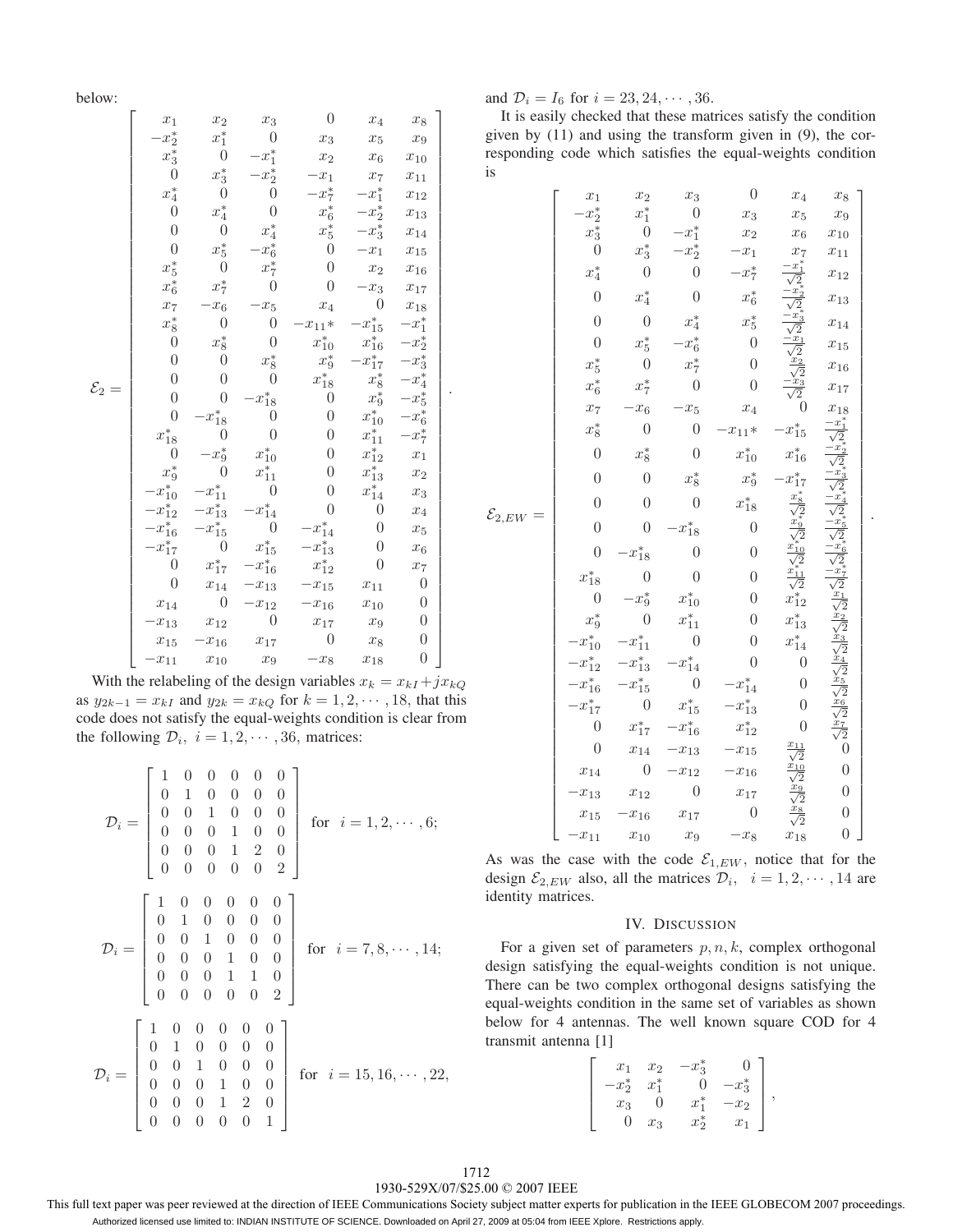below:

|                  | $\boldsymbol{x}_1$ | $x_2$            | $\boldsymbol{x}_3$     | $\boldsymbol{0}$   | $x_4$              | $x_{8}$            |
|------------------|--------------------|------------------|------------------------|--------------------|--------------------|--------------------|
|                  | $x_2^\ast$         | $x_1^*$          | $\boldsymbol{0}$       | $\boldsymbol{x}_3$ | $\boldsymbol{x}_5$ | $\boldsymbol{x}_9$ |
|                  | $x_3^*$            | $\boldsymbol{0}$ | $-x_1^*$               | $\boldsymbol{x}_2$ | $x_6$              | $x_{10}$           |
|                  | $\boldsymbol{0}$   | $x_3^*$          | $-x_2^*$               | $-x_1$             | $x_7$              | $x_{11}$           |
|                  | $x_4^*$            | $\boldsymbol{0}$ | $\boldsymbol{0}$       | $-x_{7}^{*}$       | $-x_1^*$           | $x_{12}$           |
|                  | $\boldsymbol{0}$   | $x_4^*$          | $\overline{0}$         | $x_6^*$            | $-x_2^*$           | $x_{13}$           |
|                  | $\overline{0}$     | $\boldsymbol{0}$ | $x_4^*$                | $x_5^*$            | $-x_3^*$           | $x_{14}$           |
|                  | $\overline{0}$     | $x^*_5$          | $x_6^*$                | $\overline{0}$     | $-x_1$             | $x_{15}$           |
|                  | $x_5^*$            | $\overline{0}$   | $x_7^*$                | $\boldsymbol{0}$   | $x_2$              | $x_{16}$           |
|                  | $x_6^*$            | $x_7^*$          | $\overline{0}$         | $\boldsymbol{0}$   | $-x_3$             | $x_{17}$           |
|                  | $\bar{x}_7$        | $\cdot x_6$      | $x_5$                  | $\boldsymbol{x}_4$ | $\boldsymbol{0}$   | $x_{18}$           |
|                  | $x_8^*$            | $\overline{0}$   | $\boldsymbol{0}$       | $-x_{11}$ *        | $x_{15}^*$         | $-x_1^*$           |
|                  | $\overline{0}$     | $x_8^*$          | $\boldsymbol{0}$       | $x_{10}^*$         | $x_{16}^*$         | $-x_2^*$           |
|                  | $\boldsymbol{0}$   | $\boldsymbol{0}$ | $x_8^*$                | $x_9^*$            | $x_{17}^*$         | $-x_3^*$           |
| $\mathcal{E}_2=$ | $\boldsymbol{0}$   | $\boldsymbol{0}$ | $\boldsymbol{0}$       | $x_{18}^*$         | $x_8^*$            | $-x_4^*$           |
|                  | $\overline{0}$     | $\boldsymbol{0}$ | $x^*_{18}$             | $\boldsymbol{0}$   | $x_9^*$            | $-x_5^*$           |
|                  | $\boldsymbol{0}$   | $x_{18}^*$       | $\overline{0}$         | $\boldsymbol{0}$   | $x_{10}^*$         | $-x_6^*$           |
|                  | $x_{18}^*$         | $\boldsymbol{0}$ | $\overline{0}$         | $\boldsymbol{0}$   | $x_{11}^*$         | $-x_{7}^{*}$       |
|                  | $\boldsymbol{0}$   | $-x_9^*$         | $x_{10}^*$             | $\boldsymbol{0}$   | $x_{12}^*$         | $x_1$              |
|                  | $x_9^*$            | $\overline{0}$   | $x_{11}^*$             | $\boldsymbol{0}$   | $x_{13}^*$         | $x_2$              |
|                  | $x_{10}^*$         | $x_{11}^*$       | $\overline{0}$         | $\overline{0}$     | $x_{14}^*$         | $\boldsymbol{x}_3$ |
|                  | $-x_{12}^*$        | $-x_{13}^*$      | $-x_{14}^*$            | $\boldsymbol{0}$   | $\boldsymbol{0}$   | $\overline{x_4}$   |
|                  | $-x_{16}^*$        | $-x_{15}^*$      | $\overline{0}$         | $-x_{14}^*$        | $\boldsymbol{0}$   | $x_5$              |
|                  | $-x_{17}^*$        | $\boldsymbol{0}$ | $x_{15}^*$             | $-x_{13}^*$        | $\boldsymbol{0}$   | $x_6$              |
|                  | $\boldsymbol{0}$   | $x_{17}^*$       | $-x_{16}^*$            | $x_{12}^*$         | $\boldsymbol{0}$   | $\boldsymbol{x}_7$ |
|                  | $\boldsymbol{0}$   | $x_{14}$         | $-\boldsymbol{x}_{13}$ | $-x_{15}$          | $x_{11}$           | $\boldsymbol{0}$   |
|                  | $x_{14}$           | $\overline{0}$   | $-x_{12}$              | $-x_{16}$          | $x_{10}$           | $\boldsymbol{0}$   |
|                  | $x_{13}$           | $x_{12}$         | $\overline{0}$         | $x_{17}$           | $x_9$              | $\boldsymbol{0}$   |
|                  | $x_{15}$           | $-x_{16}$        | $x_{17}$               | $\boldsymbol{0}$   | $\boldsymbol{x_8}$ | $\boldsymbol{0}$   |
|                  | $-x_{11}$          | $x_{10}$         | $x_9$                  | $-x_8$             | $x_{18}$           | $\boldsymbol{0}$   |

With the relabeling of the design variables  $x_k = x_{kI} + jx_{kQ}$ as  $y_{2k-1} = x_{kI}$  and  $y_{2k} = x_{kQ}$  for  $k = 1, 2, \dots, 18$ , that this code does not satisfy the equal-weights condition is clear from the following  $\mathcal{D}_i$ ,  $i = 1, 2, \dots, 36$ , matrices:

$$
\mathcal{D}_{i} = \begin{bmatrix} 1 & 0 & 0 & 0 & 0 & 0 \\ 0 & 1 & 0 & 0 & 0 & 0 \\ 0 & 0 & 1 & 0 & 0 & 0 \\ 0 & 0 & 0 & 1 & 0 & 0 \\ 0 & 0 & 0 & 1 & 2 & 0 \\ 0 & 0 & 0 & 0 & 0 & 2 \end{bmatrix} \text{ for } i = 1, 2, \dots, 6;
$$
  

$$
\mathcal{D}_{i} = \begin{bmatrix} 1 & 0 & 0 & 0 & 0 & 0 \\ 0 & 1 & 0 & 0 & 0 & 0 \\ 0 & 0 & 1 & 0 & 0 & 0 \\ 0 & 0 & 0 & 1 & 1 & 0 \\ 0 & 0 & 0 & 0 & 0 & 2 \end{bmatrix} \text{ for } i = 7, 8, \dots, 14;
$$
  

$$
\mathcal{D}_{i} = \begin{bmatrix} 1 & 0 & 0 & 0 & 0 & 0 \\ 0 & 1 & 0 & 0 & 0 & 0 \\ 0 & 0 & 1 & 1 & 0 & 0 \\ 0 & 0 & 0 & 1 & 0 & 0 \\ 0 & 0 & 0 & 1 & 0 & 0 \\ 0 & 0 & 0 & 0 & 0 & 1 \end{bmatrix} \text{ for } i = 15, 16, \dots, 22,
$$

and  $\mathcal{D}_i = I_6$  for  $i = 23, 24, \dots, 36$ .

It is easily checked that these matrices satisfy the condition given by (11) and using the transform given in (9), the corresponding code which satisfies the equal-weights condition is

|                        | $x_1$            | $\boldsymbol{x}_2$ | $\boldsymbol{x}_3$ | $\boldsymbol{0}$   | $\bar{x}_4$                                                                       | $x_8\,$                               |
|------------------------|------------------|--------------------|--------------------|--------------------|-----------------------------------------------------------------------------------|---------------------------------------|
|                        | $x_2^\ast$       | $x_1^*$            | $\boldsymbol{0}$   | $x_3$              | $x_5$                                                                             | $x_9$                                 |
|                        | $x_3^*$          | $\boldsymbol{0}$   | $-x_1^*$           | $\boldsymbol{x}_2$ | $x_{6}$                                                                           | $x_{\rm 10}$                          |
|                        | $\boldsymbol{0}$ | $x_3^*$            | $-x_2^*$           | $-x_1$             | $\boldsymbol{x}_7$                                                                | $\boldsymbol{x}_{11}$                 |
|                        | $x_4^*$          | $\overline{0}$     | $\boldsymbol{0}$   | $-x_{7}^{*}$       | $-x_1^*$<br>$\frac{-1}{\sqrt{2}}$<br>$\frac{-x_2^*}{\sqrt{2}}$<br>$\frac{-}{x^*}$ | $x_{12}$                              |
|                        | $\overline{0}$   | $x_4^\ast$         | $\overline{0}$     | $x_6^*$            |                                                                                   | $x_{13}$                              |
|                        | $\overline{0}$   | $\boldsymbol{0}$   | $x_4^\ast$         | $x_5^\ast$         | $\frac{-x_3^*}{\sqrt{2}}$                                                         | $x_{14}$                              |
|                        | $\overline{0}$   | $x_5^\ast$         | $-x_6^*$           | $\boldsymbol{0}$   | $\sqrt{2}$                                                                        | $x_{15}$                              |
|                        | $x_5^*$          | $\boldsymbol{0}$   | $x_7^*$            | $\boldsymbol{0}$   | $\frac{x_2}{\sqrt{2}}$                                                            | $x_{16}$                              |
|                        | $x_6^*$          | $x_7^\ast$         | $\overline{0}$     | $\boldsymbol{0}$   | $\frac{-x_3}{\sqrt{2}}$                                                           | $x_{17}$                              |
|                        | $x_7$            | $-x_6$             | $-x_5$             | $x_4$              | $\boldsymbol{0}$                                                                  | $x_{18}$                              |
|                        | $x_8^*$          | $\boldsymbol{0}$   | $\boldsymbol{0}$   | $-x_{11} *$        | $x_{15}^*$                                                                        | $\frac{-x_1^*}{\sqrt{2}}$<br>$-x_2^*$ |
|                        | $\overline{0}$   | $x_8^*$            | $\boldsymbol{0}$   | $x_{10}^*$         | $x_{16}^*$                                                                        |                                       |
|                        | $\overline{0}$   | $\overline{0}$     | $x_8^*$            | $x_9^*$            | $-x_{17}^*$                                                                       | $x_3^*$<br>$\sqrt{2}$<br>$x_4^*$      |
|                        | $\boldsymbol{0}$ | $\overline{0}$     | $\boldsymbol{0}$   | $x^*_{18}$         | $\frac{x_8^*}{\sqrt{2}}$                                                          |                                       |
| $\mathcal{E}_{2,EW} =$ | $\boldsymbol{0}$ | $\boldsymbol{0}$   | $-x_{18}^*$        | $\boldsymbol{0}$   | $rac{x_9}{\sqrt{2}}$                                                              | $\overline{2}$                        |
|                        | $\boldsymbol{0}$ | $-x_{18}^*$        | $\boldsymbol{0}$   | $\overline{0}$     | $\frac{x_{10}^*}{\sqrt{2}}$                                                       |                                       |
|                        | $x_{18}^*$       | $\overline{0}$     | $\overline{0}$     | $\overline{0}$     | $\frac{x_{11}^*}{\sqrt{2}}$                                                       |                                       |
|                        | $\boldsymbol{0}$ | $-x_9^*$           | $x_{10}^*$         | $\overline{0}$     | $x_{12}^*$                                                                        | $\sqrt{2}$<br>$x_1$                   |
|                        | $x_9^*$          | $\overline{0}$     | $x_{11}^*$         | $\overline{0}$     | $x^*_{13}$                                                                        |                                       |
|                        | $x_{10}^*$       | $-x_{11}^*$        | $\boldsymbol{0}$   | $\overline{0}$     | $x_{14}^{\ast}$                                                                   |                                       |
|                        | $-x_{12}^*$      | $-x_{13}^*$        | $x_{14}^\ast$      | $\boldsymbol{0}$   | $\boldsymbol{0}$                                                                  |                                       |
|                        | $-x_{16}^*$      | $-x_{15}^*$        | $\boldsymbol{0}$   | $-x_{14}^*$        | $\boldsymbol{0}$                                                                  | $\dot{x}_5$<br>$\overline{2}$         |
|                        | $-x_{17}^*$      | $\boldsymbol{0}$   | $x_{15}^*$         | $-x_{13}^*$        | $\boldsymbol{0}$                                                                  | $\frac{x_6}{\sqrt{2}}$                |
|                        | $\theta$         | $x_{17}^*$         | $-x_{16}^*$        | $x_{12}^*$         | $\boldsymbol{0}$                                                                  | $rac{x_7}{\sqrt{2}}$                  |
|                        | $\boldsymbol{0}$ | $x_{14}$           | $-x_{13}$          | $-x_{15}$          | $\frac{x_{11}}{\sqrt{2}}$                                                         | $\overline{0}$                        |
|                        | $x_{14}$         | $\boldsymbol{0}$   | $-x_{12}$          | $-x_{16}$          | $\frac{\frac{\dot{x}_{10}}{\sqrt{2}}}{\frac{x_9}{\sqrt{2}}}}$                     | $\overline{0}$                        |
|                        | $-x_{13}$        | $x_{12}$           | $\boldsymbol{0}$   | $x_{17}$           |                                                                                   | $\boldsymbol{0}$                      |
|                        | $x_{15}$         | $-x_{16}$          | $x_{17}$           | $\boldsymbol{0}$   |                                                                                   | $\boldsymbol{0}$                      |
|                        | $-x_{11}$        | $x_{\rm 10}$       | $x_9$              | $-x_8$             | $x_{18}$                                                                          | $\overline{0}$                        |

*.*

As was the case with the code  $\mathcal{E}_{1,EW}$ , notice that for the design  $\mathcal{E}_{2,EW}$  also, all the matrices  $\mathcal{D}_i$ ,  $i = 1, 2, \dots, 14$  are identity matrices.

# IV. DISCUSSION

For a given set of parameters *p, n, k*, complex orthogonal design satisfying the equal-weights condition is not unique. There can be two complex orthogonal designs satisfying the equal-weights condition in the same set of variables as shown below for 4 antennas. The well known square COD for 4 transmit antenna [1]

| $x_1$   | x <sub>2</sub> | $x_2$   |       |  |
|---------|----------------|---------|-------|--|
| م باني. | $x_1^*$        |         |       |  |
| $x_3$   | 1              | $x_1^*$ | $x_2$ |  |
|         | $x_3$          | $x^*$   | $x_1$ |  |

*.*